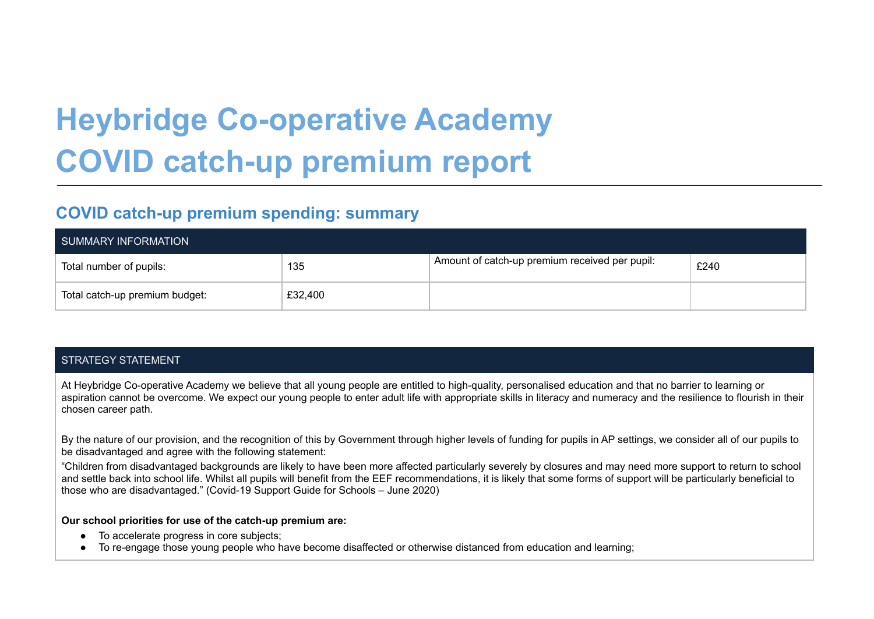# **Heybridge Co-operative Academy COVID catch-up premium report**

# **COVID catch-up premium spending: summary**

| SUMMARY INFORMATION            |         |                                                |      |  |
|--------------------------------|---------|------------------------------------------------|------|--|
| Total number of pupils:        | 135     | Amount of catch-up premium received per pupil: | £240 |  |
| Total catch-up premium budget: | £32,400 |                                                |      |  |

## STRATEGY STATEMENT

At Heybridge Co-operative Academy we believe that all young people are entitled to high-quality, personalised education and that no barrier to learning or aspiration cannot be overcome. We expect our young people to enter adult life with appropriate skills in literacy and numeracy and the resilience to flourish in their chosen career path.

By the nature of our provision, and the recognition of this by Government through higher levels of funding for pupils in AP settings, we consider all of our pupils to be disadvantaged and agree with the following statement:

"Children from disadvantaged backgrounds are likely to have been more affected particularly severely by closures and may need more support to return to school and settle back into school life. Whilst all pupils will benefit from the EEF recommendations, it is likely that some forms of support will be particularly beneficial to those who are disadvantaged." (Covid-19 Support Guide for Schools – June 2020)

#### **Our school priorities for use of the catch-up premium are:**

- To accelerate progress in core subjects;
- To re-engage those young people who have become disaffected or otherwise distanced from education and learning;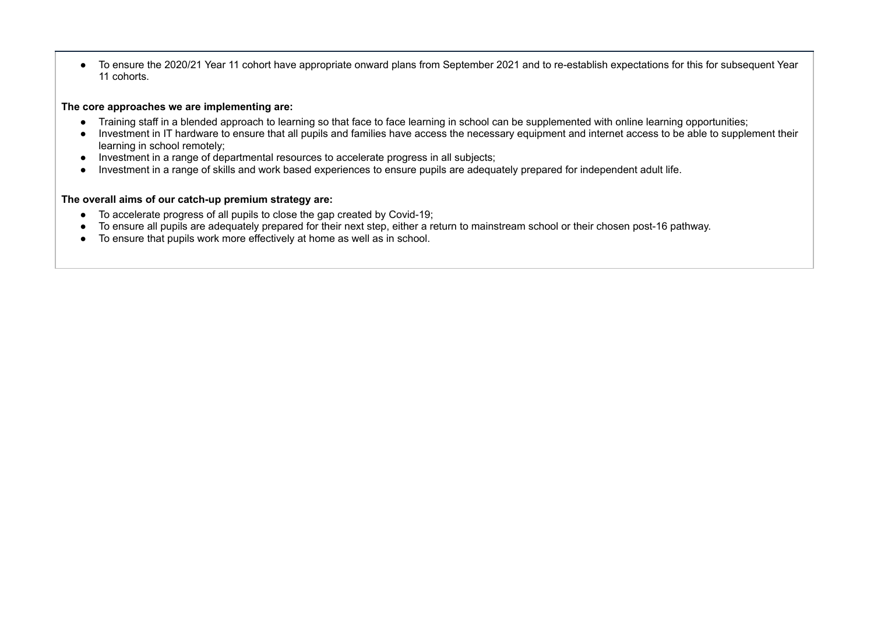● To ensure the 2020/21 Year 11 cohort have appropriate onward plans from September 2021 and to re-establish expectations for this for subsequent Year 11 cohorts.

#### **The core approaches we are implementing are:**

- Training staff in a blended approach to learning so that face to face learning in school can be supplemented with online learning opportunities;
- Investment in IT hardware to ensure that all pupils and families have access the necessary equipment and internet access to be able to supplement their learning in school remotely;
- Investment in a range of departmental resources to accelerate progress in all subjects;
- Investment in a range of skills and work based experiences to ensure pupils are adequately prepared for independent adult life.

#### **The overall aims of our catch-up premium strategy are:**

- To accelerate progress of all pupils to close the gap created by Covid-19;
- To ensure all pupils are adequately prepared for their next step, either a return to mainstream school or their chosen post-16 pathway.
- To ensure that pupils work more effectively at home as well as in school.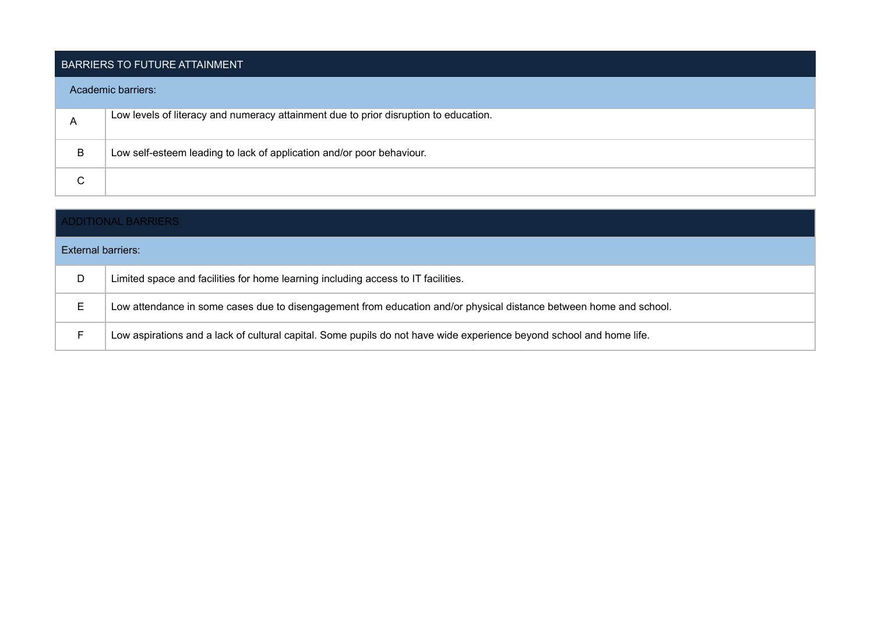### BARRIERS TO FUTURE ATTAINMENT

#### Academic barriers:

|   | Low levels of literacy and numeracy attainment due to prior disruption to education. |
|---|--------------------------------------------------------------------------------------|
| B | Low self-esteem leading to lack of application and/or poor behaviour.                |
| ⌒ |                                                                                      |

| <b>ADDITIONAL BARRIERS</b> |                                                                                                                      |  |  |
|----------------------------|----------------------------------------------------------------------------------------------------------------------|--|--|
| External barriers:         |                                                                                                                      |  |  |
| D                          | Limited space and facilities for home learning including access to IT facilities.                                    |  |  |
| Е                          | Low attendance in some cases due to disengagement from education and/or physical distance between home and school.   |  |  |
|                            | Low aspirations and a lack of cultural capital. Some pupils do not have wide experience beyond school and home life. |  |  |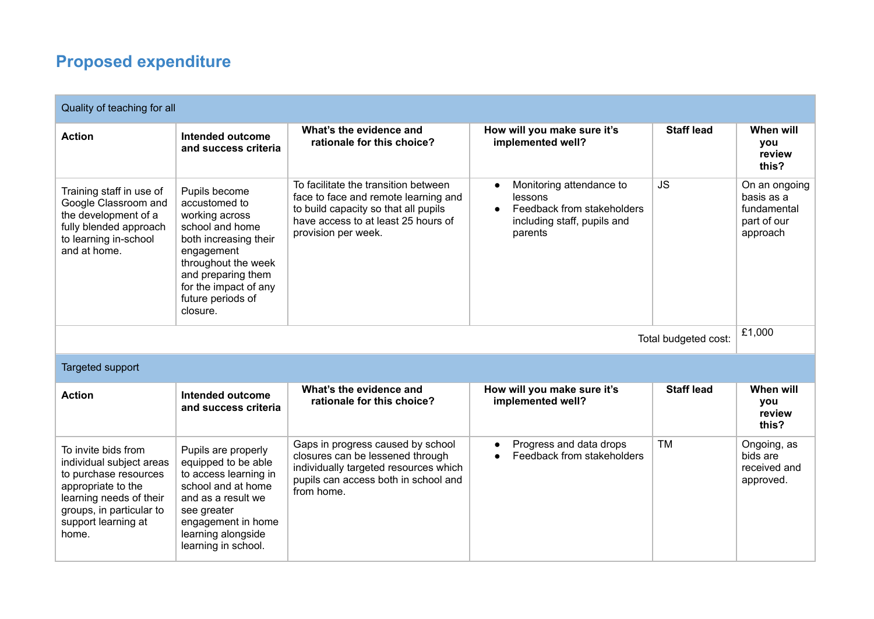# **Proposed expenditure**

| Quality of teaching for all                                                                                                                                                           |                                                                                                                                                                                                                   |                                                                                                                                                                                    |                                                                                                                                       |                   |                                                                       |
|---------------------------------------------------------------------------------------------------------------------------------------------------------------------------------------|-------------------------------------------------------------------------------------------------------------------------------------------------------------------------------------------------------------------|------------------------------------------------------------------------------------------------------------------------------------------------------------------------------------|---------------------------------------------------------------------------------------------------------------------------------------|-------------------|-----------------------------------------------------------------------|
| <b>Action</b>                                                                                                                                                                         | Intended outcome<br>and success criteria                                                                                                                                                                          | What's the evidence and<br>rationale for this choice?                                                                                                                              | How will you make sure it's<br>implemented well?                                                                                      | <b>Staff lead</b> | When will<br><b>vou</b><br>review<br>this?                            |
| Training staff in use of<br>Google Classroom and<br>the development of a<br>fully blended approach<br>to learning in-school<br>and at home.                                           | Pupils become<br>accustomed to<br>working across<br>school and home<br>both increasing their<br>engagement<br>throughout the week<br>and preparing them<br>for the impact of any<br>future periods of<br>closure. | To facilitate the transition between<br>face to face and remote learning and<br>to build capacity so that all pupils<br>have access to at least 25 hours of<br>provision per week. | Monitoring attendance to<br>$\bullet$<br>lessons<br>Feedback from stakeholders<br>$\bullet$<br>including staff, pupils and<br>parents | <b>JS</b>         | On an ongoing<br>basis as a<br>fundamental<br>part of our<br>approach |
| Total budgeted cost:                                                                                                                                                                  |                                                                                                                                                                                                                   |                                                                                                                                                                                    |                                                                                                                                       |                   | £1,000                                                                |
| Targeted support                                                                                                                                                                      |                                                                                                                                                                                                                   |                                                                                                                                                                                    |                                                                                                                                       |                   |                                                                       |
| <b>Action</b>                                                                                                                                                                         | Intended outcome<br>and success criteria                                                                                                                                                                          | What's the evidence and<br>rationale for this choice?                                                                                                                              | How will you make sure it's<br>implemented well?                                                                                      | <b>Staff lead</b> | When will<br><b>vou</b><br>review<br>this?                            |
| To invite bids from<br>individual subject areas<br>to purchase resources<br>appropriate to the<br>learning needs of their<br>groups, in particular to<br>support learning at<br>home. | Pupils are properly<br>equipped to be able<br>to access learning in<br>school and at home<br>and as a result we<br>see greater<br>engagement in home<br>learning alongside<br>learning in school.                 | Gaps in progress caused by school<br>closures can be lessened through<br>individually targeted resources which<br>pupils can access both in school and<br>from home.               | Progress and data drops<br>$\bullet$<br>Feedback from stakeholders                                                                    | <b>TM</b>         | Ongoing, as<br>bids are<br>received and<br>approved.                  |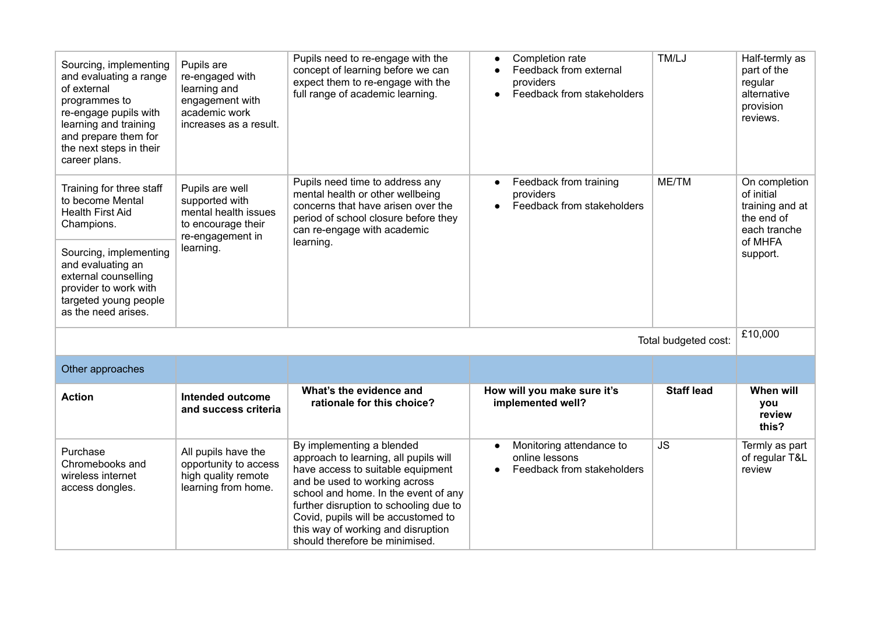| Sourcing, implementing<br>and evaluating a range<br>of external<br>programmes to<br>re-engage pupils with<br>learning and training<br>and prepare them for<br>the next steps in their<br>career plans. | Pupils are<br>re-engaged with<br>learning and<br>engagement with<br>academic work<br>increases as a result.      | Pupils need to re-engage with the<br>concept of learning before we can<br>expect them to re-engage with the<br>full range of academic learning.                                                                                                                                                                                           | Completion rate<br>$\bullet$<br>Feedback from external<br>providers<br>Feedback from stakeholders | TM/LJ             | Half-termly as<br>part of the<br>regular<br>alternative<br>provision<br>reviews. |
|--------------------------------------------------------------------------------------------------------------------------------------------------------------------------------------------------------|------------------------------------------------------------------------------------------------------------------|-------------------------------------------------------------------------------------------------------------------------------------------------------------------------------------------------------------------------------------------------------------------------------------------------------------------------------------------|---------------------------------------------------------------------------------------------------|-------------------|----------------------------------------------------------------------------------|
| Training for three staff<br>to become Mental<br><b>Health First Aid</b><br>Champions.                                                                                                                  | Pupils are well<br>supported with<br>mental health issues<br>to encourage their<br>re-engagement in<br>learning. | Pupils need time to address any<br>mental health or other wellbeing<br>concerns that have arisen over the<br>period of school closure before they<br>can re-engage with academic                                                                                                                                                          | Feedback from training<br>providers<br>Feedback from stakeholders                                 | ME/TM             | On completion<br>of initial<br>training and at<br>the end of<br>each tranche     |
| Sourcing, implementing<br>and evaluating an<br>external counselling<br>provider to work with<br>targeted young people<br>as the need arises.                                                           |                                                                                                                  | learning.                                                                                                                                                                                                                                                                                                                                 |                                                                                                   |                   | of MHFA<br>support.                                                              |
| Total budgeted cost:                                                                                                                                                                                   |                                                                                                                  |                                                                                                                                                                                                                                                                                                                                           |                                                                                                   |                   | £10,000                                                                          |
| Other approaches                                                                                                                                                                                       |                                                                                                                  |                                                                                                                                                                                                                                                                                                                                           |                                                                                                   |                   |                                                                                  |
| <b>Action</b>                                                                                                                                                                                          | Intended outcome<br>and success criteria                                                                         | What's the evidence and<br>rationale for this choice?                                                                                                                                                                                                                                                                                     | How will you make sure it's<br>implemented well?                                                  | <b>Staff lead</b> | When will<br>you<br>review<br>this?                                              |
| Purchase<br>Chromebooks and<br>wireless internet<br>access dongles.                                                                                                                                    | All pupils have the<br>opportunity to access<br>high quality remote<br>learning from home.                       | By implementing a blended<br>approach to learning, all pupils will<br>have access to suitable equipment<br>and be used to working across<br>school and home. In the event of any<br>further disruption to schooling due to<br>Covid, pupils will be accustomed to<br>this way of working and disruption<br>should therefore be minimised. | Monitoring attendance to<br>$\bullet$<br>online lessons<br>Feedback from stakeholders             | <b>JS</b>         | Termly as part<br>of regular T&L<br>review                                       |